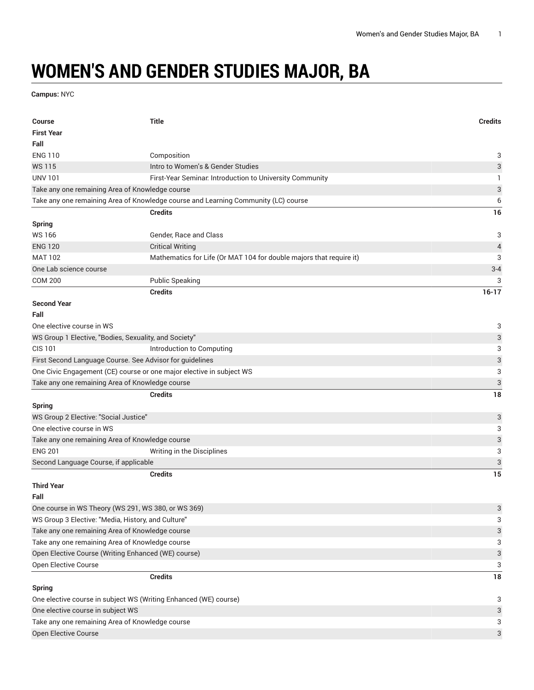## **WOMEN'S AND GENDER STUDIES MAJOR, BA**

**Campus:** NYC

| <b>Course</b>                                                        | <b>Title</b>                                                                       | <b>Credits</b>            |
|----------------------------------------------------------------------|------------------------------------------------------------------------------------|---------------------------|
| <b>First Year</b>                                                    |                                                                                    |                           |
| Fall                                                                 |                                                                                    |                           |
| <b>ENG 110</b>                                                       | Composition                                                                        | 3                         |
| <b>WS115</b>                                                         | Intro to Women's & Gender Studies                                                  | 3                         |
| <b>UNV 101</b>                                                       | First-Year Seminar. Introduction to University Community                           | -1                        |
| Take any one remaining Area of Knowledge course                      |                                                                                    | $\ensuremath{\mathsf{3}}$ |
|                                                                      | Take any one remaining Area of Knowledge course and Learning Community (LC) course | 6                         |
|                                                                      | <b>Credits</b>                                                                     | 16                        |
| <b>Spring</b>                                                        |                                                                                    |                           |
| <b>WS166</b>                                                         | Gender, Race and Class                                                             | 3                         |
| <b>ENG 120</b>                                                       | <b>Critical Writing</b>                                                            | $\overline{4}$            |
| <b>MAT 102</b>                                                       | Mathematics for Life (Or MAT 104 for double majors that require it)                | 3                         |
| One Lab science course                                               |                                                                                    | $3 - 4$                   |
| <b>COM 200</b>                                                       | <b>Public Speaking</b>                                                             | 3                         |
|                                                                      | <b>Credits</b>                                                                     | $16 - 17$                 |
| <b>Second Year</b>                                                   |                                                                                    |                           |
| Fall                                                                 |                                                                                    |                           |
| One elective course in WS                                            |                                                                                    | 3                         |
| WS Group 1 Elective, "Bodies, Sexuality, and Society"                |                                                                                    | 3                         |
| <b>CIS 101</b>                                                       | Introduction to Computing                                                          | 3                         |
| First Second Language Course. See Advisor for guidelines             |                                                                                    | $\ensuremath{\mathsf{3}}$ |
| One Civic Engagement (CE) course or one major elective in subject WS |                                                                                    | 3                         |
| Take any one remaining Area of Knowledge course                      |                                                                                    | $\ensuremath{\mathsf{3}}$ |
|                                                                      | <b>Credits</b>                                                                     | 18                        |
| <b>Spring</b>                                                        |                                                                                    |                           |
| WS Group 2 Elective: "Social Justice"                                |                                                                                    | $\ensuremath{\mathsf{3}}$ |
| One elective course in WS                                            |                                                                                    | 3                         |
| Take any one remaining Area of Knowledge course                      |                                                                                    | $\ensuremath{\mathsf{3}}$ |
| <b>ENG 201</b>                                                       | Writing in the Disciplines                                                         | 3                         |
| Second Language Course, if applicable                                |                                                                                    | $\ensuremath{\mathsf{3}}$ |
|                                                                      | <b>Credits</b>                                                                     | 15                        |
| <b>Third Year</b>                                                    |                                                                                    |                           |
| Fall                                                                 |                                                                                    |                           |
| One course in WS Theory (WS 291, WS 380, or WS 369)                  |                                                                                    | $\ensuremath{\mathsf{3}}$ |
| WS Group 3 Elective: "Media, History, and Culture"                   |                                                                                    | 3                         |
| Take any one remaining Area of Knowledge course                      |                                                                                    | 3                         |
| Take any one remaining Area of Knowledge course                      |                                                                                    | 3                         |
| Open Elective Course (Writing Enhanced (WE) course)                  |                                                                                    | $\ensuremath{\mathsf{3}}$ |
| Open Elective Course                                                 |                                                                                    | 3                         |
|                                                                      | <b>Credits</b>                                                                     | 18                        |
| <b>Spring</b>                                                        |                                                                                    |                           |
| One elective course in subject WS (Writing Enhanced (WE) course)     |                                                                                    | 3                         |
| One elective course in subject WS                                    |                                                                                    |                           |
| Take any one remaining Area of Knowledge course                      |                                                                                    | 3                         |
| Open Elective Course                                                 |                                                                                    | 3                         |
|                                                                      |                                                                                    |                           |